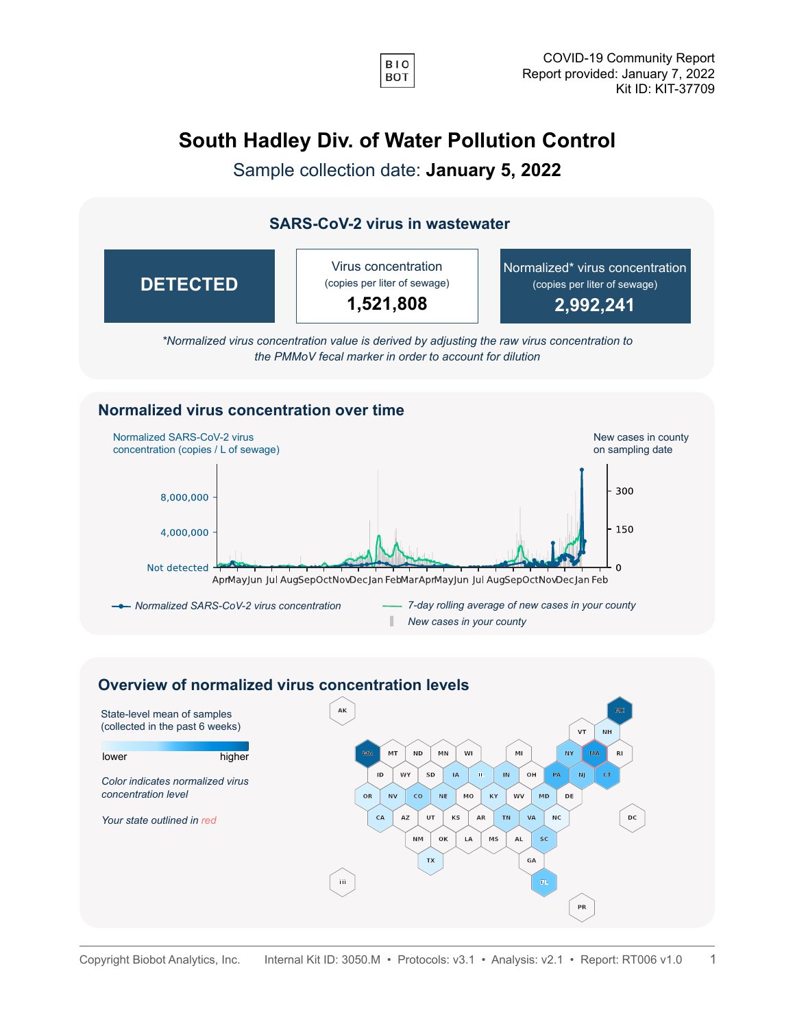

## **South Hadley Div. of Water Pollution Control**

Sample collection date: **January 5, 2022**

## **SARS-CoV-2 virus in wastewater**



*\*Normalized virus concentration value is derived by adjusting the raw virus concentration to the PMMoV fecal marker in order to account for dilution*

## **Normalized virus concentration over time**